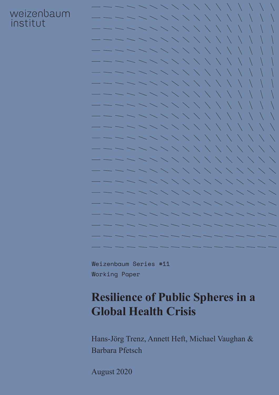### weizenbaum institut



Weizenbaum Series #11 Working Paper

# **Resilience of Public Spheres in a Global Health Crisis**

Hans-Jörg Trenz, Annett Heft, Michael Vaughan & Barbara Pfetsch

August 2020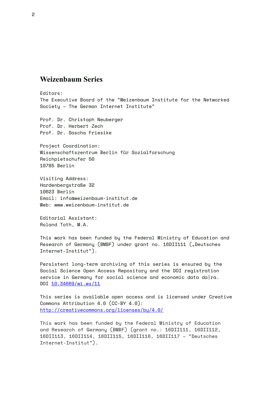#### **Weizenbaum Series**

Editors: The Executive Board of the "Weizenbaum Institute for the Networked Society – The German Internet Institute"

Prof. Dr. Christoph Neuberger Prof. Dr. Herbert Zech Prof. Dr. Sascha Friesike

Project Coordination: Wissenschaftszentrum Berlin für Sozialforschung Reichpietschufer 50 10785 Berlin

Visiting Address: Hardenbergstraße 32 10623 Berlin Email: [info@weizenbaum-institut.de](http://info@weizenbaum-institut.de) Web: [www.weizenbaum-institut.de](http://www.weizenbaum-institut.de)

Editorial Assistant: Roland Toth, M.A.

This work has been funded by the Federal Ministry of Education and Research of Germany (BMBF) under grant no. 16DII111 ("Deutsches Internet-Institut").

Persistent long-term archiving of this series is ensured by the Social Science Open Access Repository and the DOI registration service in Germany for social science and economic data da|ra. DOI [10.34669/wi.ws/1](https://doi.org/10.34669/wi.ws/11)1

This series is available open access and is licensed under Creative Commons Attribution 4.0 (CC-BY 4.0): <http://creativecommons.org/licenses/by/4.0/>

This work has been funded by the Federal Ministry of Education and Research of Germany (BMBF) (grant no.: 16DII111, 16DII112, 16DII113, 16DII114, 16DII115, 16DII116, 16DII117 – "Deutsches Internet-Institut").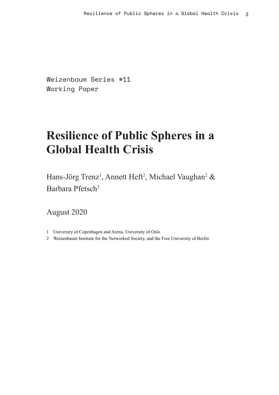Weizenbaum Series #11 Working Paper

# **Resilience of Public Spheres in a Global Health Crisis**

Hans-Jörg Trenz<sup>1</sup>, Annett Heft<sup>2</sup>, Michael Vaughan<sup>2</sup> & Barbara Pfetsch2

August 2020

- 1 University of Copenhagen and Arena, University of Oslo
- 2 Weizenbaum Institute for the Networked Society, and the Free University of Berlin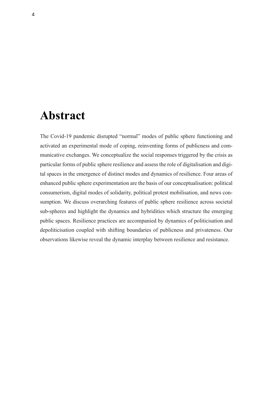### **Abstract**

The Covid-19 pandemic disrupted "normal" modes of public sphere functioning and activated an experimental mode of coping, reinventing forms of publicness and communicative exchanges. We conceptualize the social responses triggered by the crisis as particular forms of public sphere resilience and assess the role of digitalisation and digital spaces in the emergence of distinct modes and dynamics of resilience. Four areas of enhanced public sphere experimentation are the basis of our conceptualisation: political consumerism, digital modes of solidarity, political protest mobilisation, and news consumption. We discuss overarching features of public sphere resilience across societal sub-spheres and highlight the dynamics and hybridities which structure the emerging public spaces. Resilience practices are accompanied by dynamics of politicisation and depoliticisation coupled with shifting boundaries of publicness and privateness. Our observations likewise reveal the dynamic interplay between resilience and resistance.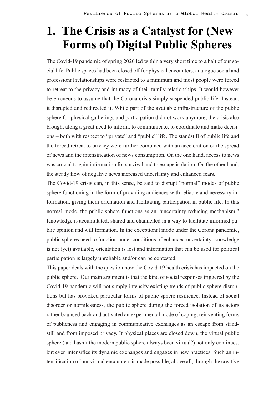# **1. The Crisis as a Catalyst for (New Forms of) Digital Public Spheres**

The Covid-19 pandemic of spring 2020 led within a very short time to a halt of our social life. Public spaces had been closed off for physical encounters, analogue social and professional relationships were restricted to a minimum and most people were forced to retreat to the privacy and intimacy of their family relationships. It would however be erroneous to assume that the Corona crisis simply suspended public life. Instead, it disrupted and redirected it. While part of the available infrastructure of the public sphere for physical gatherings and participation did not work anymore, the crisis also brought along a great need to inform, to communicate, to coordinate and make decisions – both with respect to "private" and "public" life. The standstill of public life and the forced retreat to privacy were further combined with an acceleration of the spread of news and the intensification of news consumption. On the one hand, access to news was crucial to gain information for survival and to escape isolation. On the other hand, the steady flow of negative news increased uncertainty and enhanced fears.

The Covid-19 crisis can, in this sense, be said to disrupt "normal" modes of public sphere functioning in the form of providing audiences with reliable and necessary information, giving them orientation and facilitating participation in public life. In this normal mode, the public sphere functions as an "uncertainty reducing mechanism." Knowledge is accumulated, shared and channelled in a way to facilitate informed public opinion and will formation. In the exceptional mode under the Corona pandemic, public spheres need to function under conditions of enhanced uncertainty: knowledge is not (yet) available, orientation is lost and information that can be used for political participation is largely unreliable and/or can be contested.

This paper deals with the question how the Covid-19 health crisis has impacted on the public sphere. Our main argument is that the kind of social responses triggered by the Covid-19 pandemic will not simply intensify existing trends of public sphere disruptions but has provoked particular forms of public sphere resilience. Instead of social disorder or normlessness, the public sphere during the forced isolation of its actors rather bounced back and activated an experimental mode of coping, reinventing forms of publicness and engaging in communicative exchanges as an escape from standstill and from imposed privacy. If physical places are closed down, the virtual public sphere (and hasn't the modern public sphere always been virtual?) not only continues, but even intensifies its dynamic exchanges and engages in new practices. Such an intensification of our virtual encounters is made possible, above all, through the creative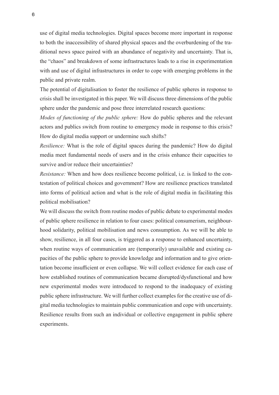use of digital media technologies. Digital spaces become more important in response to both the inaccessibility of shared physical spaces and the overburdening of the traditional news space paired with an abundance of negativity and uncertainty. That is, the "chaos" and breakdown of some infrastructures leads to a rise in experimentation with and use of digital infrastructures in order to cope with emerging problems in the public and private realm.

The potential of digitalisation to foster the resilience of public spheres in response to crisis shall be investigated in this paper. We will discuss three dimensions of the public sphere under the pandemic and pose three interrelated research questions:

*Modes of functioning of the public sphere:* How do public spheres and the relevant actors and publics switch from routine to emergency mode in response to this crisis? How do digital media support or undermine such shifts?

*Resilience:* What is the role of digital spaces during the pandemic? How do digital media meet fundamental needs of users and in the crisis enhance their capacities to survive and/or reduce their uncertainties?

*Resistance:* When and how does resilience become political, i.e. is linked to the contestation of political choices and government? How are resilience practices translated into forms of political action and what is the role of digital media in facilitating this political mobilisation?

We will discuss the switch from routine modes of public debate to experimental modes of public sphere resilience in relation to four cases: political consumerism, neighbourhood solidarity, political mobilisation and news consumption. As we will be able to show, resilience, in all four cases, is triggered as a response to enhanced uncertainty, when routine ways of communication are (temporarily) unavailable and existing capacities of the public sphere to provide knowledge and information and to give orientation become insufficient or even collapse. We will collect evidence for each case of how established routines of communication became disrupted/dysfunctional and how new experimental modes were introduced to respond to the inadequacy of existing public sphere infrastructure. We will further collect examples for the creative use of digital media technologies to maintain public communication and cope with uncertainty. Resilience results from such an individual or collective engagement in public sphere experiments.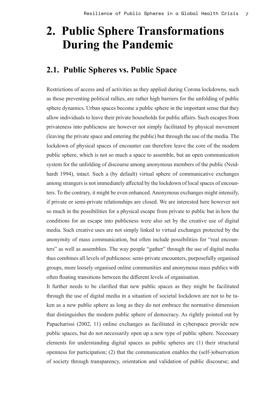# **2. Public Sphere Transformations During the Pandemic**

#### **2.1. Public Spheres vs. Public Space**

Restrictions of access and of activities as they applied during Corona lockdowns, such as those preventing political rallies, are rather high barriers for the unfolding of public sphere dynamics. Urban spaces become a public sphere in the important sense that they allow individuals to leave their private households for public affairs. Such escapes from privateness into publicness are however not simply facilitated by physical movement (leaving the private space and entering the public) but through the use of the media. The lockdown of physical spaces of encounter can therefore leave the core of the modern public sphere, which is not so much a space to assemble, but an open communication system for the unfolding of discourse among anonymous members of the public (Neidhardt 1994), intact. Such a (by default) virtual sphere of communicative exchanges among strangers is not immediately affected by the lockdown of local spaces of encounters. To the contrary, it might be even enhanced. Anonymous exchanges might intensify, if private or semi-private relationships are closed. We are interested here however not so much in the possibilities for a physical escape from private to public but in how the conditions for an escape into publicness were also set by the creative use of digital media. Such creative uses are not simply linked to virtual exchanges protected by the anonymity of mass communication, but often include possibilities for "real encounters" as well as assemblies. The way people "gather" through the use of digital media thus combines all levels of publicness: semi-private encounters, purposefully organised groups, more loosely organised online communities and anonymous mass publics with often floating transitions between the different levels of organisation.

It further needs to be clarified that new public spaces as they might be facilitated through the use of digital media in a situation of societal lockdown are not to be taken as a new public sphere as long as they do not embrace the normative dimension that distinguishes the modern public sphere of democracy. As rightly pointed out by Papacharissi (2002, 11) online exchanges as facilitated in cyberspace provide new public spaces, but do not necessarily open up a new type of public sphere. Necessary elements for understanding digital spaces as public spheres are (1) their structural openness for participation; (2) that the communication enables the (self-)observation of society through transparency, orientation and validation of public discourse; and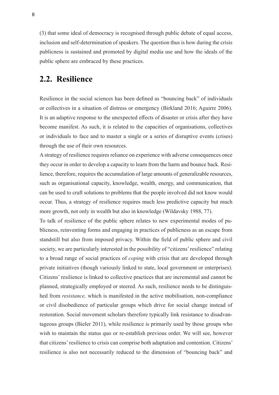(3) that some ideal of democracy is recognised through public debate of equal access, inclusion and self-determination of speakers. The question thus is how during the crisis publicness is sustained and promoted by digital media use and how the ideals of the public sphere are embraced by these practices.

#### **2.2. Resilience**

Resilience in the social sciences has been defined as "bouncing back" of individuals or collectives in a situation of distress or emergency (Birkland 2016; Aguirre 2006). It is an adaptive response to the unexpected effects of disaster or crisis after they have become manifest. As such, it is related to the capacities of organisations, collectives or individuals to face and to master a single or a series of disruptive events (crises) through the use of their own resources.

A strategy of resilience requires reliance on experience with adverse consequences once they occur in order to develop a capacity to learn from the harm and bounce back. Resilience, therefore, requires the accumulation of large amounts of generalizable resources, such as organisational capacity, knowledge, wealth, energy, and communication, that can be used to craft solutions to problems that the people involved did not know would occur. Thus, a strategy of resilience requires much less predictive capacity but much more growth, not only in wealth but also in knowledge (Wildavsky 1988, 77).

To talk of resilience of the public sphere relates to new experimental modes of publicness, reinventing forms and engaging in practices of publicness as an escape from standstill but also from imposed privacy. Within the field of public sphere and civil society, we are particularly interested in the possibility of "citizens' resilience" relating to a broad range of social practices of *coping* with crisis that are developed through private initiatives (though variously linked to state, local government or enterprises). Citizens' resilience is linked to collective practices that are incremental and cannot be planned, strategically employed or steered. As such, resilience needs to be distinguished from *resistance,* which is manifested in the active mobilisation, non-compliance or civil disobedience of particular groups which drive for social change instead of restoration. Social movement scholars therefore typically link resistance to disadvantageous groups (Bieler 2011), while resilience is primarily used by those groups who wish to maintain the status quo or re-establish previous order. We will see, however that citizens' resilience to crisis can comprise both adaptation and contention. Citizens' resilience is also not necessarily reduced to the dimension of "bouncing back" and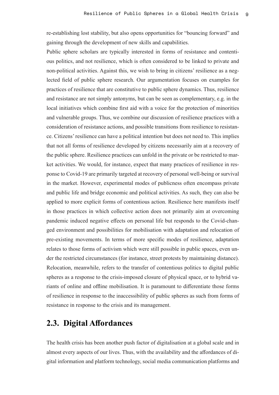re-establishing lost stability, but also opens opportunities for "bouncing forward" and gaining through the development of new skills and capabilities.

Public sphere scholars are typically interested in forms of resistance and contentious politics, and not resilience, which is often considered to be linked to private and non-political activities. Against this, we wish to bring in citizens' resilience as a neglected field of public sphere research. Our argumentation focuses on examples for practices of resilience that are constitutive to public sphere dynamics. Thus, resilience and resistance are not simply antonyms, but can be seen as complementary, e.g. in the local initiatives which combine first aid with a voice for the protection of minorities and vulnerable groups. Thus, we combine our discussion of resilience practices with a consideration of resistance actions, and possible transitions from resilience to resistance. Citizens' resilience can have a political intention but does not need to. This implies that not all forms of resilience developed by citizens necessarily aim at a recovery of the public sphere. Resilience practices can unfold in the private or be restricted to market activities. We would, for instance, expect that many practices of resilience in response to Covid-19 are primarily targeted at recovery of personal well-being or survival in the market. However, experimental modes of publicness often encompass private and public life and bridge economic and political activities. As such, they can also be applied to more explicit forms of contentious action. Resilience here manifests itself in those practices in which collective action does not primarily aim at overcoming pandemic induced negative effects on personal life but responds to the Covid-changed environment and possibilities for mobilisation with adaptation and relocation of pre-existing movements. In terms of more specific modes of resilience, adaptation relates to those forms of activism which were still possible in public spaces, even under the restricted circumstances (for instance, street protests by maintaining distance). Relocation, meanwhile, refers to the transfer of contentious politics to digital public spheres as a response to the crisis-imposed closure of physical space, or to hybrid variants of online and offline mobilisation. It is paramount to differentiate those forms of resilience in response to the inaccessibility of public spheres as such from forms of resistance in response to the crisis and its management.

#### **2.3. Digital Affordances**

The health crisis has been another push factor of digitalisation at a global scale and in almost every aspects of our lives. Thus, with the availability and the affordances of digital information and platform technology, social media communication platforms and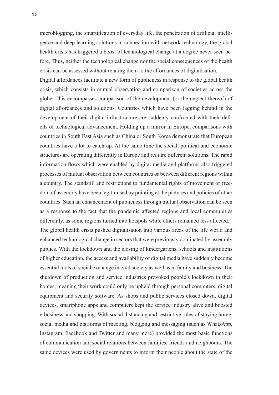microblogging, the smartification of everyday life, the penetration of artificial intelligence and deep learning solutions in connection with network technology, the global health crisis has triggered a boost of technological change at a degree never seen before. Thus, neither the technological change nor the social consequences of the health crisis can be assessed without relating them to the affordances of digitalisation.

Digital affordances facilitate a new form of publicness in response to the global health crisis, which consists in mutual observation and comparison of societies across the globe. This encompasses comparison of the development (or the neglect thereof) of digital affordances and solutions. Countries which have been lagging behind in the development of their digital infrastructure are suddenly confronted with their deficits of technological advancement. Holding up a mirror in Europe, comparisons with countries in South East Asia such as China or South Korea demonstrate that European countries have a lot to catch up. At the same time the social, political and economic structures are operating differently in Europe and require different solutions. The rapid information flows which were enabled by digital media and platforms also triggered processes of mutual observation between countries or between different regions within a country. The standstill and restrictions to fundamental rights of movement or freedom of assembly have been legitimised by pointing at the pictures and policies of other countries. Such an enhancement of publicness through mutual observation can be seen as a response to the fact that the pandemic affected regions and local communities differently, as some regions turned into hotspots while others remained less affected.

The global health crisis pushed digitalisation into various areas of the life world and enhanced technological change in sectors that were previously dominated by assembly publics. With the lockdown and the closing of kindergartens, schools and institutions of higher education, the access and availability of digital media have suddenly become essential tools of social exchange in civil society as well as in family and business. The shutdown of production and service industries provoked people's lockdown in their homes, meaning their work could only be upheld through personal computers, digital equipment and security software. As shops and public services closed down, digital devices, smartphone apps and computers kept the service industry alive and boosted e-business and shopping. With social distancing and restrictive rules of staying home, social media and platforms of meeting, blogging and messaging (such as WhatsApp, Instagram, Facebook and Twitter and many more) provided the most basic functions of communication and social relations between families, friends and neighbours. The same devices were used by governments to inform their people about the state of the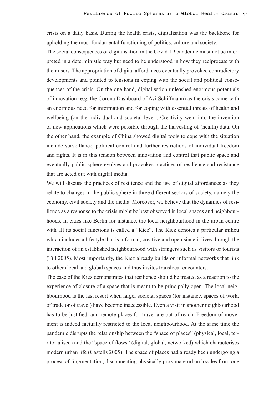crisis on a daily basis. During the health crisis, digitalisation was the backbone for upholding the most fundamental functioning of politics, culture and society.

The social consequences of digitalisation in the Covid-19 pandemic must not be interpreted in a deterministic way but need to be understood in how they reciprocate with their users. The appropriation of digital affordances eventually provoked contradictory developments and pointed to tensions in coping with the social and political consequences of the crisis. On the one hand, digitalisation unleashed enormous potentials of innovation (e.g. the Corona Dashboard of Avi Schiffmann) as the crisis came with an enormous need for information and for coping with essential threats of health and wellbeing (on the individual and societal level). Creativity went into the invention of new applications which were possible through the harvesting of (health) data. On the other hand, the example of China showed digital tools to cope with the situation include surveillance, political control and further restrictions of individual freedom and rights. It is in this tension between innovation and control that public space and eventually public sphere evolves and provokes practices of resilience and resistance that are acted out with digital media.

We will discuss the practices of resilience and the use of digital affordances as they relate to changes in the public sphere in three different sectors of society, namely the economy, civil society and the media. Moreover, we believe that the dynamics of resilience as a response to the crisis might be best observed in local spaces and neighbourhoods. In cities like Berlin for instance, the local neighbourhood in the urban centre with all its social functions is called a "Kiez". The Kiez denotes a particular milieu which includes a lifestyle that is informal, creative and open since it lives through the interaction of an established neighbourhood with strangers such as visitors or tourists (Till 2005). Most importantly, the Kiez already builds on informal networks that link to other (local and global) spaces and thus invites translocal encounters.

The case of the Kiez demonstrates that resilience should be treated as a reaction to the experience of closure of a space that is meant to be principally open. The local neighbourhood is the last resort when larger societal spaces (for instance, spaces of work, of trade or of travel) have become inaccessible. Even a visit in another neighbourhood has to be justified, and remote places for travel are out of reach. Freedom of movement is indeed factually restricted to the local neighbourhood. At the same time the pandemic disrupts the relationship between the "space of places" (physical, local, territorialised) and the "space of flows" (digital, global, networked) which characterises modern urban life (Castells 2005). The space of places had already been undergoing a process of fragmentation, disconnecting physically proximate urban locales from one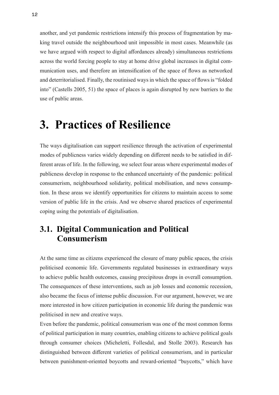another, and yet pandemic restrictions intensify this process of fragmentation by making travel outside the neighbourhood unit impossible in most cases. Meanwhile (as we have argued with respect to digital affordances already) simultaneous restrictions across the world forcing people to stay at home drive global increases in digital communication uses, and therefore an intensification of the space of flows as networked and deterritorialised. Finally, the routinised ways in which the space of flows is "folded into" (Castells 2005, 51) the space of places is again disrupted by new barriers to the use of public areas.

## **3. Practices of Resilience**

The ways digitalisation can support resilience through the activation of experimental modes of publicness varies widely depending on different needs to be satisfied in different areas of life. In the following, we select four areas where experimental modes of publicness develop in response to the enhanced uncertainty of the pandemic: political consumerism, neighbourhood solidarity, political mobilisation, and news consumption. In these areas we identify opportunities for citizens to maintain access to some version of public life in the crisis. And we observe shared practices of experimental coping using the potentials of digitalisation.

### **3.1. Digital Communication and Political Consumerism**

At the same time as citizens experienced the closure of many public spaces, the crisis politicised economic life. Governments regulated businesses in extraordinary ways to achieve public health outcomes, causing precipitous drops in overall consumption. The consequences of these interventions, such as job losses and economic recession, also became the focus of intense public discussion. For our argument, however, we are more interested in how citizen participation in economic life during the pandemic was politicised in new and creative ways.

Even before the pandemic, political consumerism was one of the most common forms of political participation in many countries, enabling citizens to achieve political goals through consumer choices (Micheletti, Follesdal, and Stolle 2003). Research has distinguished between different varieties of political consumerism, and in particular between punishment-oriented boycotts and reward-oriented "buycotts," which have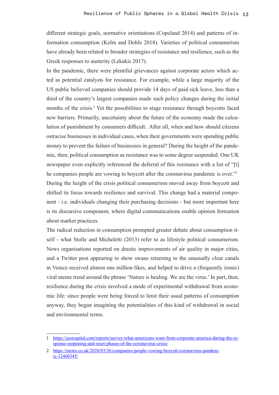different strategic goals, normative orientations (Copeland 2014) and patterns of information consumption (Kelm and Dohle 2018). Varieties of political consumerism have already been related to broader strategies of resistance and resilience, such as the Greek responses to austerity (Lekakis 2017).

In the pandemic, there were plentiful grievances against corporate actors which acted as potential catalysts for resistance. For example, while a large majority of the US public believed companies should provide 14 days of paid sick leave, less than a third of the country's largest companies made such policy changes during the initial months of the crisis.<sup>1</sup> Yet the possibilities to stage resistance through boycotts faced new barriers. Primarily, uncertainty about the future of the economy made the calculation of punishment by consumers difficult. After all, when and how should citizens ostracise businesses in individual cases, when their governments were spending public money to prevent the failure of businesses in general? During the height of the pandemic, then, political consumption as resistance was to some degree suspended. One UK newspaper even explicitly referenced the deferral of this resistance with a list of "[t] he companies people are vowing to boycott after the coronavirus pandemic is over."2 During the height of the crisis political consumerism moved away from boycott and shifted its focus towards resilience and survival. This change had a material component - i.e. individuals changing their purchasing decisions - but more important here is its discursive component, where digital communications enable opinion formation about market practices.

The radical reduction in consumption prompted greater debate about consumption itself - what Stolle and Micheletti (2013) refer to as lifestyle political consumerism. News organisations reported on drastic improvements of air quality in major cities, and a Twitter post appearing to show swans returning to the unusually clear canals in Venice received almost one million likes, and helped to drive a (frequently ironic) viral meme trend around the phrase 'Nature is healing. We are the virus.' In part, then, resilience during the crisis involved a mode of experimental withdrawal from economic life: since people were being forced to limit their usual patterns of consumption anyway, they began imagining the potentialities of this kind of withdrawal in social and environmental terms.

<sup>1</sup> [https://justcapital.com/reports/survey-what-americans-want-from-corporate-america-during-the-re](https://justcapital.com/reports/survey-what-americans-want-from-corporate-america-during-the-response-reopening-and-reset-phases-of-the-coronavirus-crisis/)[sponse-reopening-and-reset-phases-of-the-coronavirus-crisis/](https://justcapital.com/reports/survey-what-americans-want-from-corporate-america-during-the-response-reopening-and-reset-phases-of-the-coronavirus-crisis/)

<sup>2</sup> [https://metro.co.uk/2020/03/26/companies-people-vowing-boycott-coronavirus-pandem](https://metro.co.uk/2020/03/26/companies-people-vowing-boycott-coronavirus-pandemic-12460345/)[ic-12460345/](https://metro.co.uk/2020/03/26/companies-people-vowing-boycott-coronavirus-pandemic-12460345/)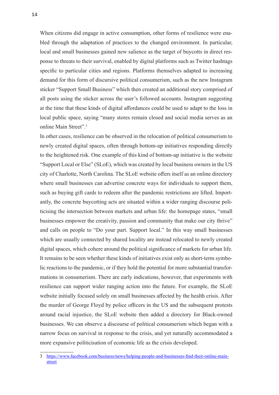When citizens did engage in active consumption, other forms of resilience were enabled through the adaptation of practices to the changed environment. In particular, local and small businesses gained new salience as the target of buycotts in direct response to threats to their survival, enabled by digital platforms such as Twitter hashtags specific to particular cities and regions. Platforms themselves adapted to increasing demand for this form of discursive political consumerism, such as the new Instagram sticker "Support Small Business" which then created an additional story comprised of all posts using the sticker across the user's followed accounts. Instagram suggesting at the time that these kinds of digital affordances could be used to adapt to the loss in local public space, saying "many stores remain closed and social media serves as an online Main Street".3

In other cases, resilience can be observed in the relocation of political consumerism to newly created digital spaces, often through bottom-up initiatives responding directly to the heightened risk. One example of this kind of bottom-up initiative is the website "Support Local or Else" (SLoE), which was created by local business owners in the US city of Charlotte, North Carolina. The SLoE website offers itself as an online directory where small businesses can advertise concrete ways for individuals to support them, such as buying gift cards to redeem after the pandemic restrictions are lifted. Importantly, the concrete buycotting acts are situated within a wider ranging discourse politicising the intersection between markets and urban life: the homepage states, "small businesses empower the creativity, passion and community that make our city thrive" and calls on people to "Do your part. Support local." In this way small businesses which are usually connected by shared locality are instead relocated to newly created digital spaces, which cohere around the political significance of markets for urban life. It remains to be seen whether these kinds of initiatives exist only as short-term symbolic reactions to the pandemic, or if they hold the potential for more substantial transformations in consumerism. There are early indications, however, that experiments with resilience can support wider ranging action into the future. For example, the SLoE website initially focused solely on small businesses affected by the health crisis. After the murder of George Floyd by police officers in the US and the subsequent protests around racial injustice, the SLoE website then added a directory for Black-owned businesses. We can observe a discourse of political consumerism which began with a narrow focus on survival in response to the crisis, and yet naturally accommodated a more expansive politicisation of economic life as the crisis developed.

<sup>3</sup> [https://www.facebook.com/business/news/helping-people-and-businesses-find-their-online-main](https://www.facebook.com/business/news/helping-people-and-businesses-find-their-online-main-street)[street](https://www.facebook.com/business/news/helping-people-and-businesses-find-their-online-main-street)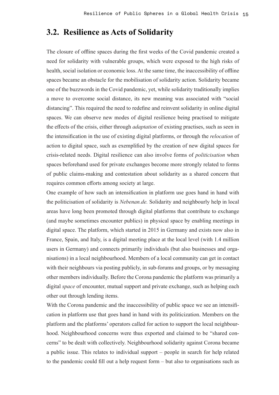#### **3.2. Resilience as Acts of Solidarity**

The closure of offline spaces during the first weeks of the Covid pandemic created a need for solidarity with vulnerable groups, which were exposed to the high risks of health, social isolation or economic loss. At the same time, the inaccessibility of offline spaces became an obstacle for the mobilisation of solidarity action. Solidarity became one of the buzzwords in the Covid pandemic, yet, while solidarity traditionally implies a move to overcome social distance, its new meaning was associated with "social distancing". This required the need to redefine and reinvent solidarity in online digital spaces. We can observe new modes of digital resilience being practised to mitigate the effects of the crisis, either through *adaptation* of existing practises, such as seen in the intensification in the use of existing digital platforms, or through the *relocation* of action to digital space, such as exemplified by the creation of new digital spaces for crisis-related needs. Digital resilience can also involve forms of *politicisation* when spaces beforehand used for private exchanges become more strongly related to forms of public claims-making and contestation about solidarity as a shared concern that requires common efforts among society at large.

One example of how such an intensification in platform use goes hand in hand with the politicisation of solidarity is *[Nebenan.de.](http://Nebenan.de)* Solidarity and neighbourly help in local areas have long been promoted through digital platforms that contribute to exchange (and maybe sometimes encounter publics) in physical space by enabling meetings in digital space. The platform, which started in 2015 in Germany and exists now also in France, Spain, and Italy, is a digital meeting place at the local level (with 1.4 million users in Germany) and connects primarily individuals (but also businesses and organisations) in a local neighbourhood. Members of a local community can get in contact with their neighbours via posting publicly, in sub-forums and groups, or by messaging other members individually. Before the Corona pandemic the platform was primarily a digital *space* of encounter, mutual support and private exchange, such as helping each other out through lending items.

With the Corona pandemic and the inaccessibility of public space we see an intensification in platform use that goes hand in hand with its politicization. Members on the platform and the platforms' operators called for action to support the local neighbourhood. Neighbourhood concerns were thus exported and claimed to be "shared concerns" to be dealt with collectively. Neighbourhood solidarity against Corona became a public issue. This relates to individual support – people in search for help related to the pandemic could fill out a help request form – but also to organisations such as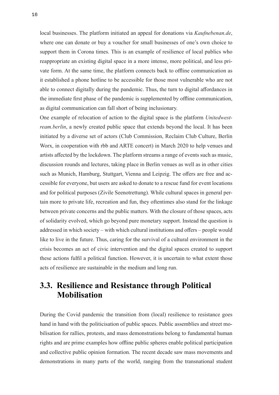local businesses. The platform initiated an appeal for donations via *[Kaufnebenan.de](http://Kaufnebenan.de)*, where one can donate or buy a voucher for small businesses of one's own choice to support them in Corona times. This is an example of resilience of local publics who reappropriate an existing digital space in a more intense, more political, and less private form. At the same time, the platform connects back to offline communication as it established a phone hotline to be accessible for those most vulnerable who are not able to connect digitally during the pandemic. Thus, the turn to digital affordances in the immediate first phase of the pandemic is supplemented by offline communication, as digital communication can fall short of being inclusionary.

One example of relocation of action to the digital space is the platform *Unitedwestream.berlin*, a newly created public space that extends beyond the local. It has been initiated by a diverse set of actors (Club Commission, Reclaim Club Culture, Berlin Worx, in cooperation with rbb and ARTE concert) in March 2020 to help venues and artists affected by the lockdown. The platform streams a range of events such as music, discussion rounds and lectures, taking place in Berlin venues as well as in other cities such as Munich, Hamburg, Stuttgart, Vienna and Leipzig. The offers are free and accessible for everyone, but users are asked to donate to a rescue fund for event locations and for political purposes (Zivile Seenotrettung). While cultural spaces in general pertain more to private life, recreation and fun, they oftentimes also stand for the linkage between private concerns and the public matters. With the closure of those spaces, acts of solidarity evolved, which go beyond pure monetary support. Instead the question is addressed in which society – with which cultural institutions and offers – people would like to live in the future. Thus, caring for the survival of a cultural environment in the crisis becomes an act of civic intervention and the digital spaces created to support these actions fulfil a political function. However, it is uncertain to what extent those acts of resilience are sustainable in the medium and long run.

### **3.3. Resilience and Resistance through Political Mobilisation**

During the Covid pandemic the transition from (local) resilience to resistance goes hand in hand with the politicisation of public spaces. Public assemblies and street mobilisation for rallies, protests, and mass demonstrations belong to fundamental human rights and are prime examples how offline public spheres enable political participation and collective public opinion formation. The recent decade saw mass movements and demonstrations in many parts of the world, ranging from the transnational student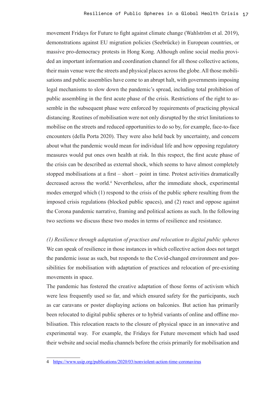movement Fridays for Future to fight against climate change (Wahlström et al. 2019), demonstrations against EU migration policies (Seebrücke) in European countries, or massive pro-democracy protests in Hong Kong. Although online social media provided an important information and coordination channel for all those collective actions, their main venue were the streets and physical places across the globe. All those mobilisations and public assemblies have come to an abrupt halt, with governments imposing legal mechanisms to slow down the pandemic's spread, including total prohibition of public assembling in the first acute phase of the crisis. Restrictions of the right to assemble in the subsequent phase were enforced by requirements of practicing physical distancing. Routines of mobilisation were not only disrupted by the strict limitations to mobilise on the streets and reduced opportunities to do so by, for example, face-to-face encounters (della Porta 2020). They were also held back by uncertainty, and concern about what the pandemic would mean for individual life and how opposing regulatory measures would put ones own health at risk. In this respect, the first acute phase of the crisis can be described as external shock, which seems to have almost completely stopped mobilisations at a first – short – point in time. Protest activities dramatically decreased across the world.<sup>4</sup> Nevertheless, after the immediate shock, experimental modes emerged which (1) respond to the crisis of the public sphere resulting from the imposed crisis regulations (blocked public spaces), and (2) react and oppose against the Corona pandemic narrative, framing and political actions as such. In the following two sections we discuss these two modes in terms of resilience and resistance.

*(1) Resilience through adaptation of practises and relocation to digital public spheres* We can speak of resilience in those instances in which collective action does not target the pandemic issue as such, but responds to the Covid-changed environment and possibilities for mobilisation with adaptation of practices and relocation of pre-existing movements in space.

The pandemic has fostered the creative adaptation of those forms of activism which were less frequently used so far, and which ensured safety for the participants, such as car caravans or poster displaying actions on balconies. But action has primarily been relocated to digital public spheres or to hybrid variants of online and offline mobilisation. This relocation reacts to the closure of physical space in an innovative and experimental way. For example, the Fridays for Future movement which had used their website and social media channels before the crisis primarily for mobilisation and

<sup>4</sup> <https://www.usip.org/publications/2020/03/nonviolent-action-time-coronavirus>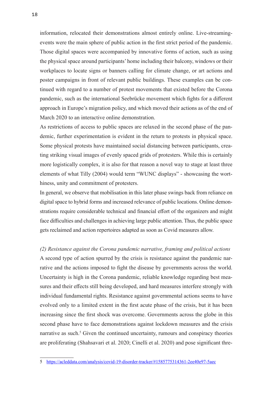information, relocated their demonstrations almost entirely online. Live-streamingevents were the main sphere of public action in the first strict period of the pandemic. Those digital spaces were accompanied by innovative forms of action, such as using the physical space around participants' home including their balcony, windows or their workplaces to locate signs or banners calling for climate change, or art actions and poster campaigns in front of relevant public buildings. These examples can be continued with regard to a number of protest movements that existed before the Corona pandemic, such as the international Seebrücke movement which fights for a different approach in Europe's migration policy, and which moved their actions as of the end of March 2020 to an interactive online demonstration.

As restrictions of access to public spaces are relaxed in the second phase of the pandemic, further experimentation is evident in the return to protests in physical space. Some physical protests have maintained social distancing between participants, creating striking visual images of evenly spaced grids of protesters. While this is certainly more logistically complex, it is also for that reason a novel way to stage at least three elements of what Tilly (2004) would term "WUNC displays" - showcasing the worthiness, unity and commitment of protesters.

In general, we observe that mobilisation in this later phase swings back from reliance on digital space to hybrid forms and increased relevance of public locations. Online demonstrations require considerable technical and financial effort of the organizers and might face difficulties and challenges in achieving large public attention. Thus, the public space gets reclaimed and action repertoires adapted as soon as Covid measures allow.

*(2) Resistance against the Corona pandemic narrative, framing and political actions* A second type of action spurred by the crisis is resistance against the pandemic narrative and the actions imposed to fight the disease by governments across the world. Uncertainty is high in the Corona pandemic, reliable knowledge regarding best measures and their effects still being developed, and hard measures interfere strongly with individual fundamental rights. Resistance against governmental actions seems to have evolved only to a limited extent in the first acute phase of the crisis, but it has been increasing since the first shock was overcome. Governments across the globe in this second phase have to face demonstrations against lockdown measures and the crisis narrative as such.<sup>5</sup> Given the continued uncertainty, rumours and conspiracy theories are proliferating (Shahsavari et al. 2020; Cinelli et al. 2020) and pose significant thre-

<sup>5</sup> <https://acleddata.com/analysis/covid-19-disorder-tracker/#1585775314361-2ee40e97-5aec>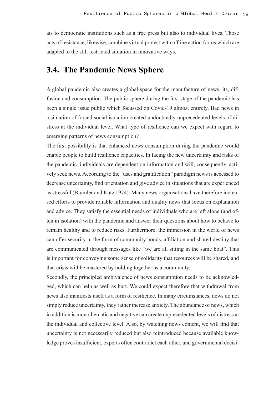ats to democratic institutions such as a free press but also to individual lives. Those acts of resistance, likewise, combine virtual protest with offline action forms which are adapted to the still restricted situation in innovative ways.

#### **3.4. The Pandemic News Sphere**

A global pandemic also creates a global space for the manufacture of news, its, diffusion and consumption. The public sphere during the first stage of the pandemic has been a single issue public which focussed on Covid-19 almost entirely. Bad news in a situation of forced social isolation created undoubtedly unprecedented levels of distress at the individual level. What type of resilience can we expect with regard to emerging patterns of news consumption?

The first possibility is that enhanced news consumption during the pandemic would enable people to build resilience capacities. In facing the new uncertainty and risks of the pandemic, individuals are dependent on information and will, consequently, actively seek news. According to the "uses and gratification" paradigm news is accessed to decrease uncertainty, find orientation and give advice in situations that are experienced as stressful (Blumler and Katz 1974). Many news organisations have therefore increased efforts to provide reliable information and quality news that focus on explanation and advice. They satisfy the essential needs of individuals who are left alone (and often in isolation) with the pandemic and answer their questions about how to behave to remain healthy and to reduce risks. Furthermore, the immersion in the world of news can offer security in the form of community bonds, affiliation and shared destiny that are communicated through messages like "we are all sitting in the same boat". This is important for conveying some sense of solidarity that resources will be shared, and that crisis will be mastered by holding together as a community.

Secondly, the principled ambivalence of news consumption needs to be acknowledged, which can help as well as hurt. We could expect therefore that withdrawal from news also manifests itself as a form of resilience. In many circumstances, news do not simply reduce uncertainty, they rather increase anxiety. The abundance of news, which in addition is monothematic and negative can create unprecedented levels of distress at the individual and collective level. Also, by watching news content, we will find that uncertainty is not necessarily reduced but also reintroduced because available knowledge proves insufficient, experts often contradict each other, and governmental decisi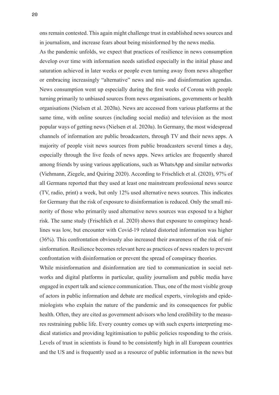ons remain contested. This again might challenge trust in established news sources and in journalism, and increase fears about being misinformed by the news media.

As the pandemic unfolds, we expect that practices of resilience in news consumption develop over time with information needs satisfied especially in the initial phase and saturation achieved in later weeks or people even turning away from news altogether or embracing increasingly "alternative" news and mis- and disinformation agendas. News consumption went up especially during the first weeks of Corona with people turning primarily to unbiased sources from news organisations, governments or health organisations (Nielsen et al. 2020a). News are accessed from various platforms at the same time, with online sources (including social media) and television as the most popular ways of getting news (Nielsen et al. 2020a). In Germany, the most widespread channels of information are public broadcasters, through TV and their news apps. A majority of people visit news sources from public broadcasters several times a day, especially through the live feeds of news apps. News articles are frequently shared among friends by using various applications, such as WhatsApp and similar networks (Viehmann, Ziegele, and Quiring 2020). According to Frischlich et al. (2020), 97% of all Germans reported that they used at least one mainstream professional news source (TV, radio, print) a week, but only 12% used alternative news sources. This indicates for Germany that the risk of exposure to disinformation is reduced. Only the small minority of those who primarily used alternative news sources was exposed to a higher risk. The same study (Frischlich et al. 2020) shows that exposure to conspiracy headlines was low, but encounter with Covid-19 related distorted information was higher (36%). This confrontation obviously also increased their awareness of the risk of misinformation. Resilience becomes relevant here as practices of news readers to prevent confrontation with disinformation or prevent the spread of conspiracy theories.

While misinformation and disinformation are tied to communication in social networks and digital platforms in particular, quality journalism and public media have engaged in expert talk and science communication. Thus, one of the most visible group of actors in public information and debate are medical experts, virologists and epidemiologists who explain the nature of the pandemic and its consequences for public health. Often, they are cited as government advisors who lend credibility to the measures restraining public life. Every country comes up with such experts interpreting medical statistics and providing legitimisation to public policies responding to the crisis. Levels of trust in scientists is found to be consistently high in all European countries and the US and is frequently used as a resource of public information in the news but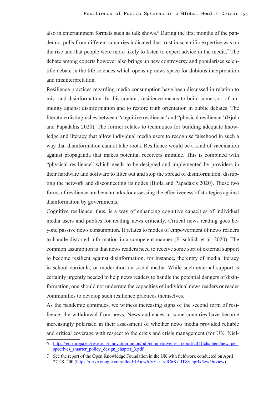also in entertainment formats such as talk shows.<sup>6</sup> During the first months of the pandemic, polls from different countries indicated that trust in scientific expertise was on the rise and that people were more likely to listen to expert advice in the media.7 The debate among experts however also brings up new controversy and popularises scientific debate in the life sciences which opens up news space for dubious interpretation and misinterpretation.

Resilience practices regarding media consumption have been discussed in relation to mis- and disinformation. In this context, resilience means to build some sort of immunity against disinformation and to restore truth orientation in public debates. The literature distinguishes between "cognitive resilience" and "physical resilience" (Bjola and Papadakis 2020). The former relates to techniques for building adequate knowledge and literacy that allow individual media users to recognise falsehood in such a way that disinformation cannot take roots. Resilience would be a kind of vaccination against propaganda that makes potential receivers immune. This is combined with "physical resilience" which needs to be designed and implemented by providers in their hardware and software to filter out and stop the spread of disinformation, disrupting the network and disconnecting its nodes (Bjola and Papadakis 2020). These two forms of resilience are benchmarks for assessing the effectiveness of strategies against disinformation by governments.

Cognitive resilience, thus, is a way of enhancing cognitive capacities of individual media users and publics for reading news critically. Critical news reading goes beyond passive news consumption. It relates to modes of empowerment of news readers to handle distorted information in a competent manner (Frischlich et al. 2020). The common assumption is that news readers need to receive some sort of external support to become resilient against disinformation, for instance, the entry of media literacy in school curricula, or moderation on social media. While such external support is certainly urgently needed to help news readers to handle the potential dangers of disinformation, one should not underrate the capacities of individual news readers or reader communities to develop such resilience practices themselves.

As the pandemic continues, we witness increasing signs of the second form of resilience: the withdrawal from news. News audiences in some countries have become increasingly polarised in their assessment of whether news media provided reliable and critical coverage with respect to the crisis and crisis management (for UK: Niel-

<sup>6</sup> [https://ec.europa.eu/research/innovation-union/pdf/competitiveness-report/2011/chapters/new\\_per](https://ec.europa.eu/research/innovation-union/pdf/competitiveness-report/2011/chapters/new_perspectives_smarter_policy_design_chapter_3.pdf)spectives smarter policy design chapter 3.pdf

<sup>7</sup> See the report of the Open Knowledge Foundation in the UK with fieldwork conducted on April 27-28, 200 ([https://drive.google.com/file/d/1Aicw6JyYsx\\_ydC6Ki\\_JTZyIapBk5zw56/view](https://drive.google.com/file/d/1Aicw6JyYsx_ydC6Ki_JTZyIapBk5zw56/view))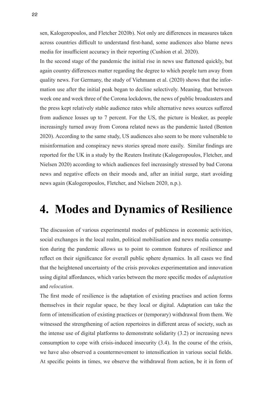sen, Kalogeropoulos, and Fletcher 2020b). Not only are differences in measures taken across countries difficult to understand first-hand, some audiences also blame news media for insufficient accuracy in their reporting (Cushion et al. 2020).

In the second stage of the pandemic the initial rise in news use flattened quickly, but again country differences matter regarding the degree to which people turn away from quality news. For Germany, the study of Viehmann et al. (2020) shows that the information use after the initial peak began to decline selectively. Meaning, that between week one and week three of the Corona lockdown, the news of public broadcasters and the press kept relatively stable audience rates while alternative news sources suffered from audience losses up to 7 percent. For the US, the picture is bleaker, as people increasingly turned away from Corona related news as the pandemic lasted (Benton 2020). According to the same study, US audiences also seem to be more vulnerable to misinformation and conspiracy news stories spread more easily. Similar findings are reported for the UK in a study by the Reuters Institute (Kalogeropoulos, Fletcher, and Nielsen 2020) according to which audiences feel increasingly stressed by bad Corona news and negative effects on their moods and, after an initial surge, start avoiding news again (Kalogeropoulos, Fletcher, and Nielsen 2020, n.p.).

## **4. Modes and Dynamics of Resilience**

The discussion of various experimental modes of publicness in economic activities, social exchanges in the local realm, political mobilisation and news media consumption during the pandemic allows us to point to common features of resilience and reflect on their significance for overall public sphere dynamics. In all cases we find that the heightened uncertainty of the crisis provokes experimentation and innovation using digital affordances, which varies between the more specific modes of *adaptation*  and *relocation*.

The first mode of resilience is the adaptation of existing practises and action forms themselves in their regular space, be they local or digital. Adaptation can take the form of intensification of existing practices or (temporary) withdrawal from them. We witnessed the strengthening of action repertoires in different areas of society, such as the intense use of digital platforms to demonstrate solidarity (3.2) or increasing news consumption to cope with crisis-induced insecurity (3.4). In the course of the crisis, we have also observed a countermovement to intensification in various social fields. At specific points in times, we observe the withdrawal from action, be it in form of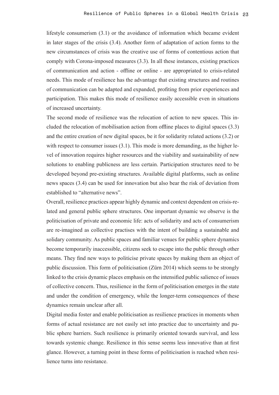lifestyle consumerism (3.1) or the avoidance of information which became evident in later stages of the crisis (3.4). Another form of adaptation of action forms to the new circumstances of crisis was the creative use of forms of contentious action that comply with Corona-imposed measures (3.3). In all these instances, existing practices of communication and action - offline or online - are appropriated to crisis-related needs. This mode of resilience has the advantage that existing structures and routines of communication can be adapted and expanded, profiting from prior experiences and participation. This makes this mode of resilience easily accessible even in situations of increased uncertainty.

The second mode of resilience was the relocation of action to new spaces. This included the relocation of mobilisation action from offline places to digital spaces (3.3) and the entire creation of new digital spaces, be it for solidarity related actions (3.2) or with respect to consumer issues (3.1). This mode is more demanding, as the higher level of innovation requires higher resources and the viability and sustainability of new solutions to enabling publicness are less certain. Participation structures need to be developed beyond pre-existing structures. Available digital platforms, such as online news spaces (3.4) can be used for innovation but also bear the risk of deviation from established to "alternative news".

Overall, resilience practices appear highly dynamic and context dependent on crisis-related and general public sphere structures. One important dynamic we observe is the politicisation of private and economic life: acts of solidarity and acts of consumerism are re-imagined as collective practises with the intent of building a sustainable and solidary community. As public spaces and familiar venues for public sphere dynamics become temporarily inaccessible, citizens seek to escape into the public through other means. They find new ways to politicise private spaces by making them an object of public discussion. This form of politicisation (Zürn 2014) which seems to be strongly linked to the crisis dynamic places emphasis on the intensified public salience of issues of collective concern. Thus, resilience in the form of politicisation emerges in the state and under the condition of emergency, while the longer-term consequences of these dynamics remain unclear after all.

Digital media foster and enable politicisation as resilience practices in moments when forms of actual resistance are not easily set into practice due to uncertainty and public sphere barriers. Such resilience is primarily oriented towards survival, and less towards systemic change. Resilience in this sense seems less innovative than at first glance. However, a turning point in these forms of politicisation is reached when resilience turns into resistance.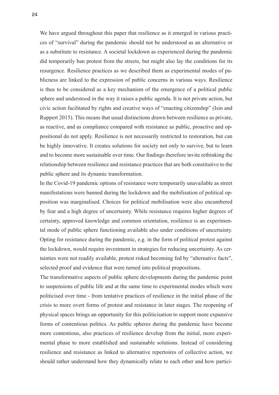We have argued throughout this paper that resilience as it emerged in various practices of "survival" during the pandemic should not be understood as an alternative or as a substitute to resistance. A societal lockdown as experienced during the pandemic did temporarily ban protest from the streets, but might also lay the conditions for its resurgence. Resilience practices as we described them as experimental modes of publicness are linked to the expression of public concerns in various ways. Resilience is thus to be considered as a key mechanism of the emergence of a political public sphere and understood in the way it raises a public agenda. It is not private action, but civic action facilitated by rights and creative ways of "enacting citizenship" (Isin and Ruppert 2015). This means that usual distinctions drawn between resilience as private, as reactive, and as compliance compared with resistance as public, proactive and oppositional do not apply. Resilience is not necessarily restricted to restoration, but can be highly innovative. It creates solutions for society not only to survive, but to learn and to become more sustainable over time. Our findings therefore invite rethinking the relationship between resilience and resistance practices that are both constitutive to the public sphere and its dynamic transformation.

In the Covid-19 pandemic options of resistance were temporarily unavailable as street manifestations were banned during the lockdown and the mobilisation of political opposition was marginalised. Choices for political mobilisation were also encumbered by fear and a high degree of uncertainty. While resistance requires higher degrees of certainty, approved knowledge and common orientation, resilience is an experimental mode of public sphere functioning available also under conditions of uncertainty. Opting for resistance during the pandemic, e.g. in the form of political protest against the lockdown, would require investment in strategies for reducing uncertainty. As certainties were not readily available, protest risked becoming fed by "alternative facts", selected proof and evidence that were turned into political propositions.

The transformative aspects of public sphere developments during the pandemic point to suspensions of public life and at the same time to experimental modes which were politicised over time - from tentative practices of resilience in the initial phase of the crisis to more overt forms of protest and resistance in later stages. The reopening of physical spaces brings an opportunity for this politicisation to support more expansive forms of contentious politics. As public spheres during the pandemic have become more contentious, also practices of resilience develop from the initial, more experimental phase to more established and sustainable solutions. Instead of considering resilience and resistance as linked to alternative repertoires of collective action, we should rather understand how they dynamically relate to each other and how partici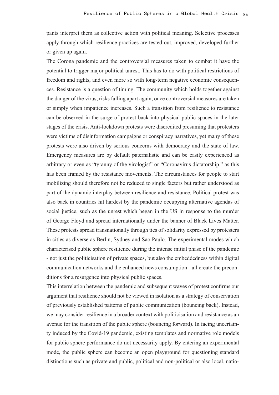pants interpret them as collective action with political meaning. Selective processes apply through which resilience practices are tested out, improved, developed further or given up again.

The Corona pandemic and the controversial measures taken to combat it have the potential to trigger major political unrest. This has to do with political restrictions of freedom and rights, and even more so with long-term negative economic consequences. Resistance is a question of timing. The community which holds together against the danger of the virus, risks falling apart again, once controversial measures are taken or simply when impatience increases. Such a transition from resilience to resistance can be observed in the surge of protest back into physical public spaces in the later stages of the crisis. Anti-lockdown protests were discredited presuming that protesters were victims of disinformation campaigns or conspiracy narratives, yet many of these protests were also driven by serious concerns with democracy and the state of law. Emergency measures are by default paternalistic and can be easily experienced as arbitrary or even as "tyranny of the virologist" or "Coronavirus dictatorship," as this has been framed by the resistance movements. The circumstances for people to start mobilizing should therefore not be reduced to single factors but rather understood as part of the dynamic interplay between resilience and resistance. Political protest was also back in countries hit hardest by the pandemic occupying alternative agendas of social justice, such as the unrest which began in the US in response to the murder of George Floyd and spread internationally under the banner of Black Lives Matter. These protests spread transnationally through ties of solidarity expressed by protesters in cities as diverse as Berlin, Sydney and Sao Paulo. The experimental modes which characterised public sphere resilience during the intense initial phase of the pandemic - not just the politicisation of private spaces, but also the embeddedness within digital communication networks and the enhanced news consumption - all create the preconditions for a resurgence into physical public spaces.

This interrelation between the pandemic and subsequent waves of protest confirms our argument that resilience should not be viewed in isolation as a strategy of conservation of previously established patterns of public communication (bouncing back). Instead, we may consider resilience in a broader context with politicisation and resistance as an avenue for the transition of the public sphere (bouncing forward). In facing uncertainty induced by the Covid-19 pandemic, existing templates and normative role models for public sphere performance do not necessarily apply. By entering an experimental mode, the public sphere can become an open playground for questioning standard distinctions such as private and public, political and non-political or also local, natio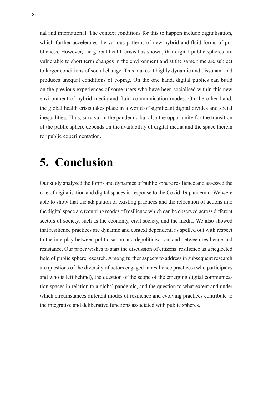nal and international. The context conditions for this to happen include digitalisation, which further accelerates the various patterns of new hybrid and fluid forms of publicness. However, the global health crisis has shown, that digital public spheres are vulnerable to short term changes in the environment and at the same time are subject to larger conditions of social change. This makes it highly dynamic and dissonant and produces unequal conditions of coping. On the one hand, digital publics can build on the previous experiences of some users who have been socialised within this new environment of hybrid media and fluid communication modes. On the other hand, the global health crisis takes place in a world of significant digital divides and social inequalities. Thus, survival in the pandemic but also the opportunity for the transition of the public sphere depends on the availability of digital media and the space therein for public experimentation.

## **5. Conclusion**

Our study analysed the forms and dynamics of public sphere resilience and assessed the role of digitalisation and digital spaces in response to the Covid-19 pandemic. We were able to show that the adaptation of existing practices and the relocation of actions into the digital space are recurring modes of resilience which can be observed across different sectors of society, such as the economy, civil society, and the media. We also showed that resilience practices are dynamic and context dependent, as spelled out with respect to the interplay between politicisation and depoliticisation, and between resilience and resistance. Our paper wishes to start the discussion of citizens' resilience as a neglected field of public sphere research. Among further aspects to address in subsequent research are questions of the diversity of actors engaged in resilience practices (who participates and who is left behind), the question of the scope of the emerging digital communication spaces in relation to a global pandemic, and the question to what extent and under which circumstances different modes of resilience and evolving practices contribute to the integrative and deliberative functions associated with public spheres.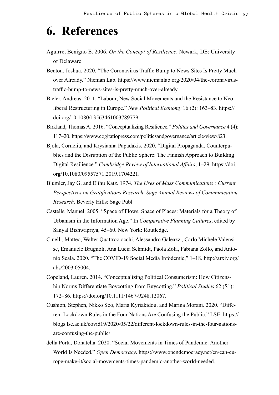## **6. References**

- Aguirre, Benigno E. 2006. *On the Concept of Resilience*. Newark, DE: University of Delaware.
- Benton, Joshua. 2020. "The Coronavirus Traffic Bump to News Sites Is Pretty Much over Already." Nieman Lab. [https://www.niemanlab.org/2020/04/the-coronavirus](https://www.niemanlab.org/2020/04/the-coronavirus-traffic-bump-to-news-sites-is-pretty-much-over-already)[traffic-bump-to-news-sites-is-pretty-much-over-already.](https://www.niemanlab.org/2020/04/the-coronavirus-traffic-bump-to-news-sites-is-pretty-much-over-already)
- Bieler, Andreas. 2011. "Labour, New Social Movements and the Resistance to Neoliberal Restructuring in Europe." *New Political Economy* 16 (2): 163–83. [https://](https://doi.org/10.1080/13563461003789779) [doi.org/10.1080/13563461003789779.](https://doi.org/10.1080/13563461003789779)
- Birkland, Thomas A. 2016. "Conceptualizing Resilience." *Politics and Governance* 4 (4): 117–20. [https://www.cogitatiopress.com/politicsandgovernance/article/view/823.](https://www.cogitatiopress.com/politicsandgovernance/article/view/823)
- Bjola, Corneliu, and Krysianna Papadakis. 2020. "Digital Propaganda, Counterpublics and the Disruption of the Public Sphere: The Finnish Approach to Building Digital Resilience." *Cambridge Review of International Affairs*, 1–29. [https://doi.](https://doi.org/10.1080/09557571.2019.1704221) [org/10.1080/09557571.2019.1704221.](https://doi.org/10.1080/09557571.2019.1704221)
- Blumler, Jay G, and Elihu Katz. 1974. *The Uses of Mass Communications : Current Perspectives on Gratifications Research*. *Sage Annual Reviews of Communication Research*. Beverly Hills: Sage Publ.
- Castells, Manuel. 2005. "Space of Flows, Space of Places: Materials for a Theory of Urbanism in the Information Age." In *Comparative Planning Cultures*, edited by Sanyal Bishwapriya, 45–60. New York: Routledge.
- Cinelli, Matteo, Walter Quattrociocchi, Alessandro Galeazzi, Carlo Michele Valensise, Emanuele Brugnoli, Ana Lucia Schmidt, Paola Zola, Fabiana Zollo, and Antonio Scala. 2020. "The COVID-19 Social Media Infodemic," 1–18. [http://arxiv.org/](http://arxiv.org/abs/2003.05004) [abs/2003.05004.](http://arxiv.org/abs/2003.05004)
- Copeland, Lauren. 2014. "Conceptualizing Political Consumerism: How Citizenship Norms Differentiate Boycotting from Buycotting." *Political Studies* 62 (S1): 172–86. [https://doi.org/10.1111/1467-9248.12067.](https://doi.org/10.1111/1467-9248.12067)
- Cushion, Stephen, Nikko Soo, Maria Kyriakidou, and Marina Morani. 2020. "Different Lockdown Rules in the Four Nations Are Confusing the Public." LSE. [https://](https://blogs.lse.ac.uk/covid19/2020/05/22/different-lockdown-rules-in-the-four-nations-are-confusing-the-public/) [blogs.lse.ac.uk/covid19/2020/05/22/different-lockdown-rules-in-the-four-nations](https://blogs.lse.ac.uk/covid19/2020/05/22/different-lockdown-rules-in-the-four-nations-are-confusing-the-public/)[are-confusing-the-public/.](https://blogs.lse.ac.uk/covid19/2020/05/22/different-lockdown-rules-in-the-four-nations-are-confusing-the-public/)
- della Porta, Donatella. 2020. "Social Movements in Times of Pandemic: Another World Is Needed." *Open Democracy*. [https://www.opendemocracy.net/en/can-eu](https://www.opendemocracy.net/en/can-europe-make-it/social-movements-times-pandemic-another-world-needed)[rope-make-it/social-movements-times-pandemic-another-world-needed.](https://www.opendemocracy.net/en/can-europe-make-it/social-movements-times-pandemic-another-world-needed)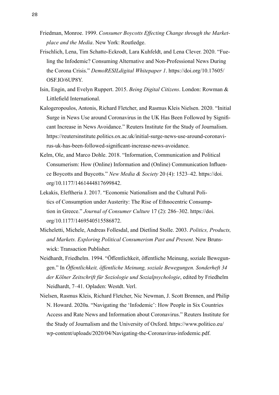- Friedman, Monroe. 1999. *Consumer Boycotts Effecting Change through the Marketplace and the Media*. New York: Routledge.
- Frischlich, Lena, Tim Schatto-Eckrodt, Lara Kuhfeldt, and Lena Clever. 2020. "Fueling the Infodemic? Consuming Alternative and Non-Professional News During the Corona Crisis." *DemoRESILdigital Whitepaper 1*. [https://doi.org/10.17605/](https://doi.org/10.17605/OSF.IO/6UP8Y) [OSF.IO/6UP8Y.](https://doi.org/10.17605/OSF.IO/6UP8Y)
- Isin, Engin, and Evelyn Ruppert. 2015. *Being Digital Citizens*. London: Rowman & Littlefield International.
- Kalogeropoulos, Antonis, Richard Fletcher, and Rasmus Kleis Nielsen. 2020. "Initial Surge in News Use around Coronavirus in the UK Has Been Followed by Significant Increase in News Avoidance." Reuters Institute for the Study of Journalism. [https://reutersinstitute.politics.ox.ac.uk/initial-surge-news-use-around-coronavi](https://reutersinstitute.politics.ox.ac.uk/initial-surge-news-use-around-coronavirus-uk-has-been-followed-significant-increase-news-avoidance)[rus-uk-has-been-followed-significant-increase-news-avoidance.](https://reutersinstitute.politics.ox.ac.uk/initial-surge-news-use-around-coronavirus-uk-has-been-followed-significant-increase-news-avoidance)
- Kelm, Ole, and Marco Dohle. 2018. "Information, Communication and Political Consumerism: How (Online) Information and (Online) Communication Influence Boycotts and Buycotts." *New Media & Society* 20 (4): 1523–42. [https://doi.](https://doi.org/10.1177/1461444817699842) [org/10.1177/1461444817699842.](https://doi.org/10.1177/1461444817699842)
- Lekakis, Eleftheria J. 2017. "Economic Nationalism and the Cultural Politics of Consumption under Austerity: The Rise of Ethnocentric Consumption in Greece." *Journal of Consumer Culture* 17 (2): 286–302. [https://doi.](https://doi.org/10.1177/1469540515586872) [org/10.1177/1469540515586872.](https://doi.org/10.1177/1469540515586872)
- Micheletti, Michele, Andreas Follesdal, and Dietlind Stolle. 2003. *Politics, Products, and Markets. Exploring Political Consumerism Past and Present*. New Brunswick: Transaction Publisher.
- Neidhardt, Friedhelm. 1994. "Öffentlichkeit, öffentliche Meinung, soziale Bewegungen." In *Öffentlichkeit, öffentliche Meinung, soziale Bewegungen. Sonderheft 34 der Kölner Zeitschrift für Soziologie und Sozialpsychologie*, edited by Friedhelm Neidhardt, 7–41. Opladen: Westdt. Verl.
- Nielsen, Rasmus Kleis, Richard Fletcher, Nic Newman, J. Scott Brennen, and Philip N. Howard. 2020a. "Navigating the 'Infodemic': How People in Six Countries Access and Rate News and Information about Coronavirus." Reuters Institute for the Study of Journalism and the University of Oxford. [https://www.politico.eu/](https://www.politico.eu/wp-content/uploads/2020/04/Navigating-the-Coronavirus-infodemic.pdf) [wp-content/uploads/2020/04/Navigating-the-Coronavirus-infodemic.pdf.](https://www.politico.eu/wp-content/uploads/2020/04/Navigating-the-Coronavirus-infodemic.pdf)